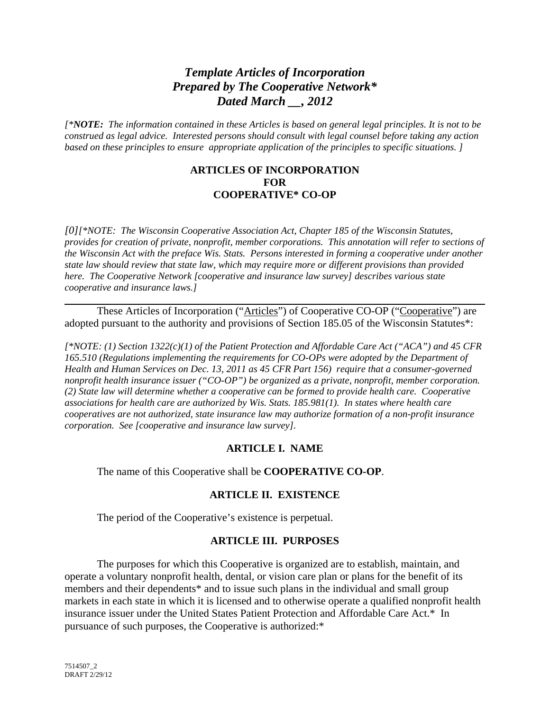# *Template Articles of Incorporation Prepared by The Cooperative Network\* Dated March \_\_, 2012*

*[\*NOTE: The information contained in these Articles is based on general legal principles. It is not to be construed as legal advice. Interested persons should consult with legal counsel before taking any action based on these principles to ensure appropriate application of the principles to specific situations. ]* 

#### **ARTICLES OF INCORPORATION FOR COOPERATIVE\* CO-OP**

*[0][\*NOTE: The Wisconsin Cooperative Association Act, Chapter 185 of the Wisconsin Statutes, provides for creation of private, nonprofit, member corporations. This annotation will refer to sections of the Wisconsin Act with the preface Wis. Stats. Persons interested in forming a cooperative under another state law should review that state law, which may require more or different provisions than provided here. The Cooperative Network [cooperative and insurance law survey] describes various state cooperative and insurance laws.]* 

These Articles of Incorporation ("Articles") of Cooperative CO-OP ("Cooperative") are adopted pursuant to the authority and provisions of Section 185.05 of the Wisconsin Statutes\*:

*[\*NOTE: (1) Section 1322(c)(1) of the Patient Protection and Affordable Care Act ("ACA") and 45 CFR 165.510 (Regulations implementing the requirements for CO-OPs were adopted by the Department of Health and Human Services on Dec. 13, 2011 as 45 CFR Part 156) require that a consumer-governed nonprofit health insurance issuer ("CO-OP") be organized as a private, nonprofit, member corporation. (2) State law will determine whether a cooperative can be formed to provide health care. Cooperative associations for health care are authorized by Wis. Stats. 185.981(1). In states where health care cooperatives are not authorized, state insurance law may authorize formation of a non-profit insurance corporation. See [cooperative and insurance law survey].* 

# **ARTICLE I. NAME**

The name of this Cooperative shall be **COOPERATIVE CO-OP**.

# **ARTICLE II. EXISTENCE**

The period of the Cooperative's existence is perpetual.

# **ARTICLE III. PURPOSES**

The purposes for which this Cooperative is organized are to establish, maintain, and operate a voluntary nonprofit health, dental, or vision care plan or plans for the benefit of its members and their dependents\* and to issue such plans in the individual and small group markets in each state in which it is licensed and to otherwise operate a qualified nonprofit health insurance issuer under the United States Patient Protection and Affordable Care Act.\* In pursuance of such purposes, the Cooperative is authorized:\*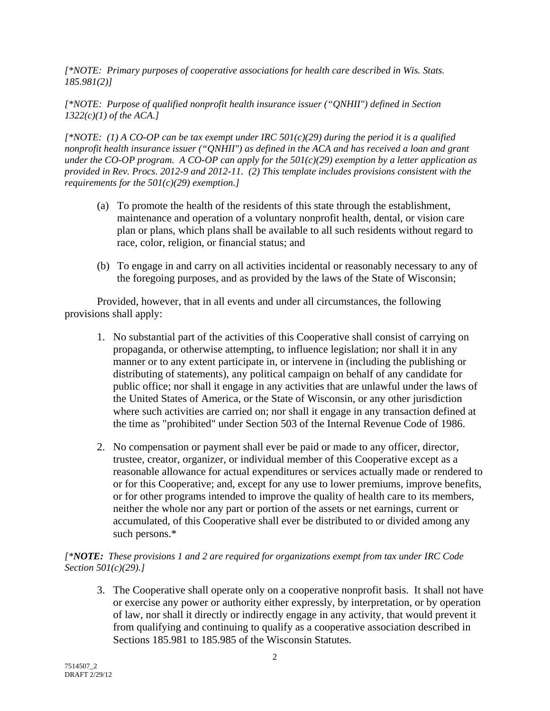*[\*NOTE: Primary purposes of cooperative associations for health care described in Wis. Stats. 185.981(2)]* 

*[\*NOTE: Purpose of qualified nonprofit health insurance issuer ("QNHII") defined in Section 1322(c)(1) of the ACA.]* 

*[\*NOTE: (1) A CO-OP can be tax exempt under IRC 501(c)(29) during the period it is a qualified nonprofit health insurance issuer ("QNHII") as defined in the ACA and has received a loan and grant under the CO-OP program. A CO-OP can apply for the 501(c)(29) exemption by a letter application as provided in Rev. Procs. 2012-9 and 2012-11. (2) This template includes provisions consistent with the requirements for the 501(c)(29) exemption.]* 

- (a) To promote the health of the residents of this state through the establishment, maintenance and operation of a voluntary nonprofit health, dental, or vision care plan or plans, which plans shall be available to all such residents without regard to race, color, religion, or financial status; and
- (b) To engage in and carry on all activities incidental or reasonably necessary to any of the foregoing purposes, and as provided by the laws of the State of Wisconsin;

Provided, however, that in all events and under all circumstances, the following provisions shall apply:

- 1. No substantial part of the activities of this Cooperative shall consist of carrying on propaganda, or otherwise attempting, to influence legislation; nor shall it in any manner or to any extent participate in, or intervene in (including the publishing or distributing of statements), any political campaign on behalf of any candidate for public office; nor shall it engage in any activities that are unlawful under the laws of the United States of America, or the State of Wisconsin, or any other jurisdiction where such activities are carried on; nor shall it engage in any transaction defined at the time as "prohibited" under Section 503 of the Internal Revenue Code of 1986.
- 2. No compensation or payment shall ever be paid or made to any officer, director, trustee, creator, organizer, or individual member of this Cooperative except as a reasonable allowance for actual expenditures or services actually made or rendered to or for this Cooperative; and, except for any use to lower premiums, improve benefits, or for other programs intended to improve the quality of health care to its members, neither the whole nor any part or portion of the assets or net earnings, current or accumulated, of this Cooperative shall ever be distributed to or divided among any such persons.\*

## *[\*NOTE: These provisions 1 and 2 are required for organizations exempt from tax under IRC Code Section 501(c)(29).]*

3. The Cooperative shall operate only on a cooperative nonprofit basis. It shall not have or exercise any power or authority either expressly, by interpretation, or by operation of law, nor shall it directly or indirectly engage in any activity, that would prevent it from qualifying and continuing to qualify as a cooperative association described in Sections 185.981 to 185.985 of the Wisconsin Statutes.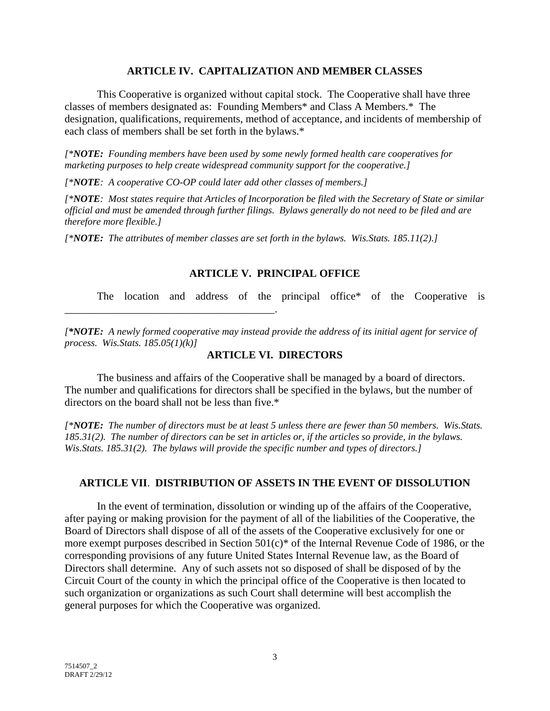#### **ARTICLE IV. CAPITALIZATION AND MEMBER CLASSES**

 This Cooperative is organized without capital stock. The Cooperative shall have three classes of members designated as: Founding Members\* and Class A Members.\* The designation, qualifications, requirements, method of acceptance, and incidents of membership of each class of members shall be set forth in the bylaws.\*

*[\*NOTE: Founding members have been used by some newly formed health care cooperatives for marketing purposes to help create widespread community support for the cooperative.]* 

*[\*NOTE: A cooperative CO-OP could later add other classes of members.]* 

\_\_\_\_\_\_\_\_\_\_\_\_\_\_\_\_\_\_\_\_\_\_\_\_\_\_\_\_\_\_\_\_\_\_\_\_\_\_\_.

*[\*NOTE: Most states require that Articles of Incorporation be filed with the Secretary of State or similar official and must be amended through further filings. Bylaws generally do not need to be filed and are therefore more flexible.]* 

*[\*NOTE: The attributes of member classes are set forth in the bylaws. Wis.Stats. 185.11(2).]* 

## **ARTICLE V. PRINCIPAL OFFICE**

The location and address of the principal office\* of the Cooperative is

*[\*NOTE: A newly formed cooperative may instead provide the address of its initial agent for service of process. Wis.Stats. 185.05(1)(k)]* 

## **ARTICLE VI. DIRECTORS**

The business and affairs of the Cooperative shall be managed by a board of directors. The number and qualifications for directors shall be specified in the bylaws, but the number of directors on the board shall not be less than five.\*

*[\*NOTE: The number of directors must be at least 5 unless there are fewer than 50 members. Wis.Stats. 185.31(2). The number of directors can be set in articles or, if the articles so provide, in the bylaws. Wis.Stats. 185.31(2). The bylaws will provide the specific number and types of directors.]* 

# **ARTICLE VII**. **DISTRIBUTION OF ASSETS IN THE EVENT OF DISSOLUTION**

In the event of termination, dissolution or winding up of the affairs of the Cooperative, after paying or making provision for the payment of all of the liabilities of the Cooperative, the Board of Directors shall dispose of all of the assets of the Cooperative exclusively for one or more exempt purposes described in Section 501(c)\* of the Internal Revenue Code of 1986, or the corresponding provisions of any future United States Internal Revenue law, as the Board of Directors shall determine. Any of such assets not so disposed of shall be disposed of by the Circuit Court of the county in which the principal office of the Cooperative is then located to such organization or organizations as such Court shall determine will best accomplish the general purposes for which the Cooperative was organized.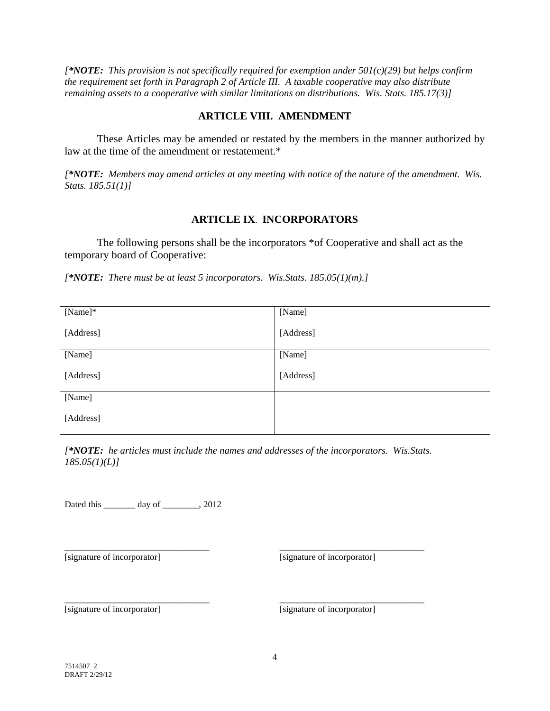*[\*NOTE: This provision is not specifically required for exemption under 501(c)(29) but helps confirm the requirement set forth in Paragraph 2 of Article III. A taxable cooperative may also distribute remaining assets to a cooperative with similar limitations on distributions. Wis. Stats. 185.17(3)]* 

#### **ARTICLE VIII. AMENDMENT**

 These Articles may be amended or restated by the members in the manner authorized by law at the time of the amendment or restatement.\*

*[\*NOTE: Members may amend articles at any meeting with notice of the nature of the amendment. Wis. Stats. 185.51(1)]* 

#### **ARTICLE IX**. **INCORPORATORS**

The following persons shall be the incorporators \*of Cooperative and shall act as the temporary board of Cooperative:

*[\*NOTE: There must be at least 5 incorporators. Wis.Stats. 185.05(1)(m).]* 

| [Name]*   | [Name]    |
|-----------|-----------|
| [Address] | [Address] |
| [Name]    | [Name]    |
| [Address] | [Address] |
| [Name]    |           |
| [Address] |           |

*[\*NOTE: he articles must include the names and addresses of the incorporators. Wis.Stats. 185.05(1)(L)]* 

Dated this \_\_\_\_\_\_\_ day of \_\_\_\_\_\_\_, 2012

\_\_\_\_\_\_\_\_\_\_\_\_\_\_\_\_\_\_\_\_\_\_\_\_\_\_\_\_\_\_\_\_

\_\_\_\_\_\_\_\_\_\_\_\_\_\_\_\_\_\_\_\_\_\_\_\_\_\_\_\_\_\_\_\_ [signature of incorporator]

[signature of incorporator]

\_\_\_\_\_\_\_\_\_\_\_\_\_\_\_\_\_\_\_\_\_\_\_\_\_\_\_\_\_\_\_\_

\_\_\_\_\_\_\_\_\_\_\_\_\_\_\_\_\_\_\_\_\_\_\_\_\_\_\_\_\_\_\_\_

[signature of incorporator]

[signature of incorporator]